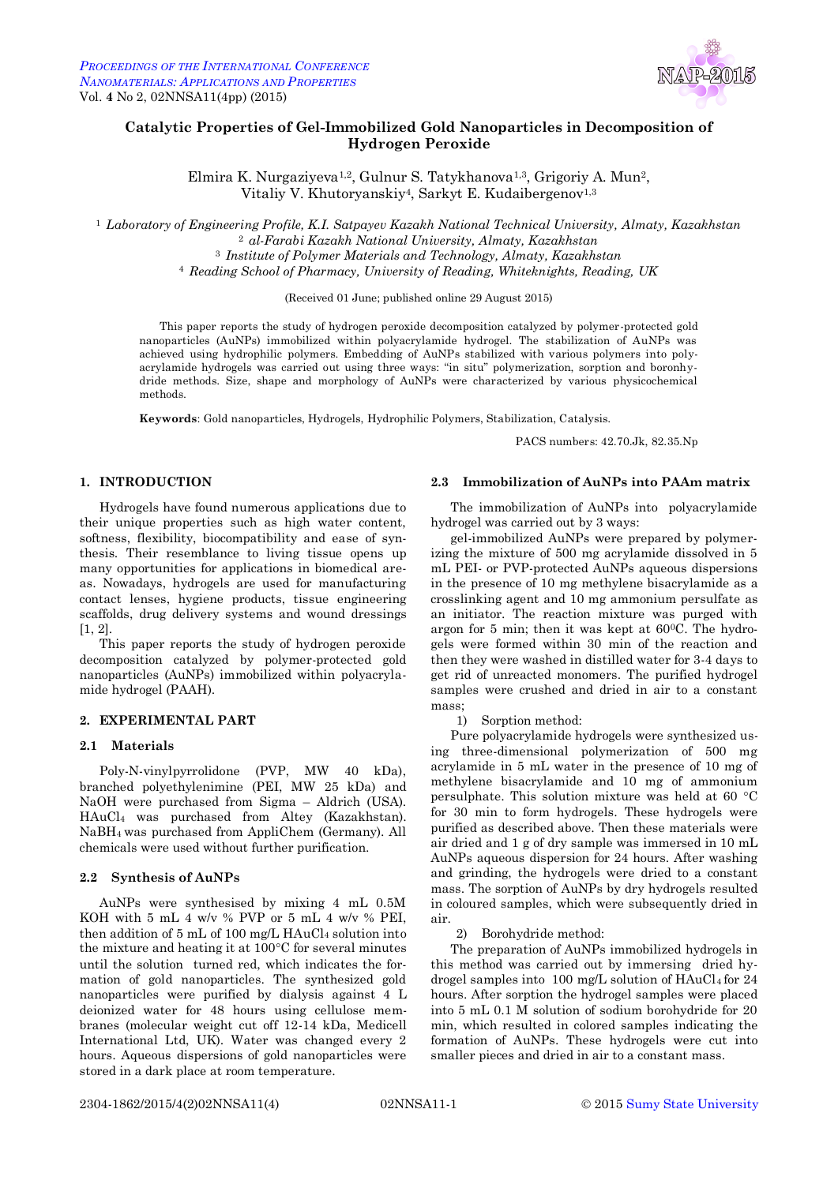

# **Catalytic Properties of Gel-Immobilized Gold Nanoparticles in Decomposition of Hydrogen Peroxide**

Elmira K. Nurgaziyeva1,2, Gulnur S. Tatykhanova1,3, Grigoriy A. Mun2, Vitaliy V. Khutoryanskiy<sup>4</sup>, Sarkyt E. Kudaibergenov<sup>1,3</sup>

 *Laboratory of Engineering Profile, K.I. Satpayev Kazakh National Technical University, Almaty, Kazakhstan al-Farabi Kazakh National University, Almaty, Kazakhstan Institute of Polymer Materials and Technology, Almaty, Kazakhstan Reading School of Pharmacy, University of Reading, Whiteknights, Reading, UK*

(Received 01 June; published online 29 August 2015)

This paper reports the study of hydrogen peroxide decomposition catalyzed by polymer-protected gold nanoparticles (AuNPs) immobilized within polyacrylamide hydrogel. The stabilization of AuNPs was achieved using hydrophilic polymers. Embedding of AuNPs stabilized with various polymers into polyacrylamide hydrogels was carried out using three ways: "in situ" polymerization, sorption and boronhydride methods. Size, shape and morphology of AuNPs were characterized by various physicochemical methods.

**Keywords**: Gold nanoparticles, Hydrogels, Hydrophilic Polymers, Stabilization, Catalysis.

PACS numbers: 42.70.Jk, 82.35.Np

### **1. INTRODUCTION**

Hydrogels have found numerous applications due to their unique properties such as high water content, softness, flexibility, biocompatibility and ease of synthesis. Their resemblance to living tissue opens up many opportunities for applications in biomedical areas. Nowadays, hydrogels are used for manufacturing contact lenses, hygiene products, tissue engineering scaffolds, drug delivery systems and wound dressings [1, 2].

This paper reports the study of hydrogen peroxide decomposition catalyzed by polymer-protected gold nanoparticles (AuNPs) immobilized within polyacrylamide hydrogel (PAAH).

### **2. EXPERIMENTAL PART**

#### **2.1 Materials**

Poly-N-vinylpyrrolidone (PVP, MW 40 kDa), branched polyethylenimine (PEI, MW 25 kDa) and NaOH were purchased from Sigma – Aldrich (USA). HAuCl<sup>4</sup> was purchased from Altey (Kazakhstan). NaBH4 was purchased from AppliChem (Germany). All chemicals were used without further purification.

## **2.2 Synthesis of AuNPs**

AuNPs were synthesised by mixing 4 mL 0.5M KOH with 5 mL 4 w/v % PVP or 5 mL 4 w/v % PEI, then addition of 5 mL of 100 mg/L HAuCl<sub>4</sub> solution into the mixture and heating it at  $100^{\circ}$ C for several minutes until the solution turned red, which indicates the formation of gold nanoparticles. The synthesized gold nanoparticles were purified by dialysis against 4 L deionized water for 48 hours using cellulose membranes (molecular weight cut off 12-14 kDa, Medicell International Ltd, UK). Water was changed every 2 hours. Aqueous dispersions of gold nanoparticles were stored in a dark place at room temperature.

#### **2.3 Immobilization of AuNPs into PAAm matrix**

The immobilization of AuNPs into polyacrylamide hydrogel was carried out by 3 ways:

gel-immobilized AuNPs were prepared by polymerizing the mixture of 500 mg acrylamide dissolved in 5 mL PEI- or PVP-protected AuNPs aqueous dispersions in the presence of 10 mg methylene bisacrylamide as a crosslinking agent and 10 mg ammonium persulfate as an initiator. The reaction mixture was purged with argon for 5 min; then it was kept at 600C. The hydrogels were formed within 30 min of the reaction and then they were washed in distilled water for 3-4 days to get rid of unreacted monomers. The purified hydrogel samples were crushed and dried in air to a constant mass;

1) Sorption method:

Pure polyacrylamide hydrogels were synthesized using three-dimensional polymerization of 500 mg acrylamide in 5 mL water in the presence of 10 mg of methylene bisacrylamide and 10 mg of ammonium persulphate. This solution mixture was held at 60 $\degree$ C for 30 min to form hydrogels. These hydrogels were purified as described above. Then these materials were air dried and 1 g of dry sample was immersed in 10 mL AuNPs aqueous dispersion for 24 hours. After washing and grinding, the hydrogels were dried to a constant mass. The sorption of AuNPs by dry hydrogels resulted in coloured samples, which were subsequently dried in air.

2) Borohydride method:

The preparation of AuNPs immobilized hydrogels in this method was carried out by immersing dried hydrogel samples into 100 mg/L solution of  $HAuCl<sub>4</sub>$  for 24 hours. After sorption the hydrogel samples were placed into 5 mL 0.1 M solution of sodium borohydride for 20 min, which resulted in colored samples indicating the formation of AuNPs. These hydrogels were cut into smaller pieces and dried in air to a constant mass.

2304-1862/2015/4(2)02NNSA11(4) 02NNSA11-1 © 2015 Sumy State University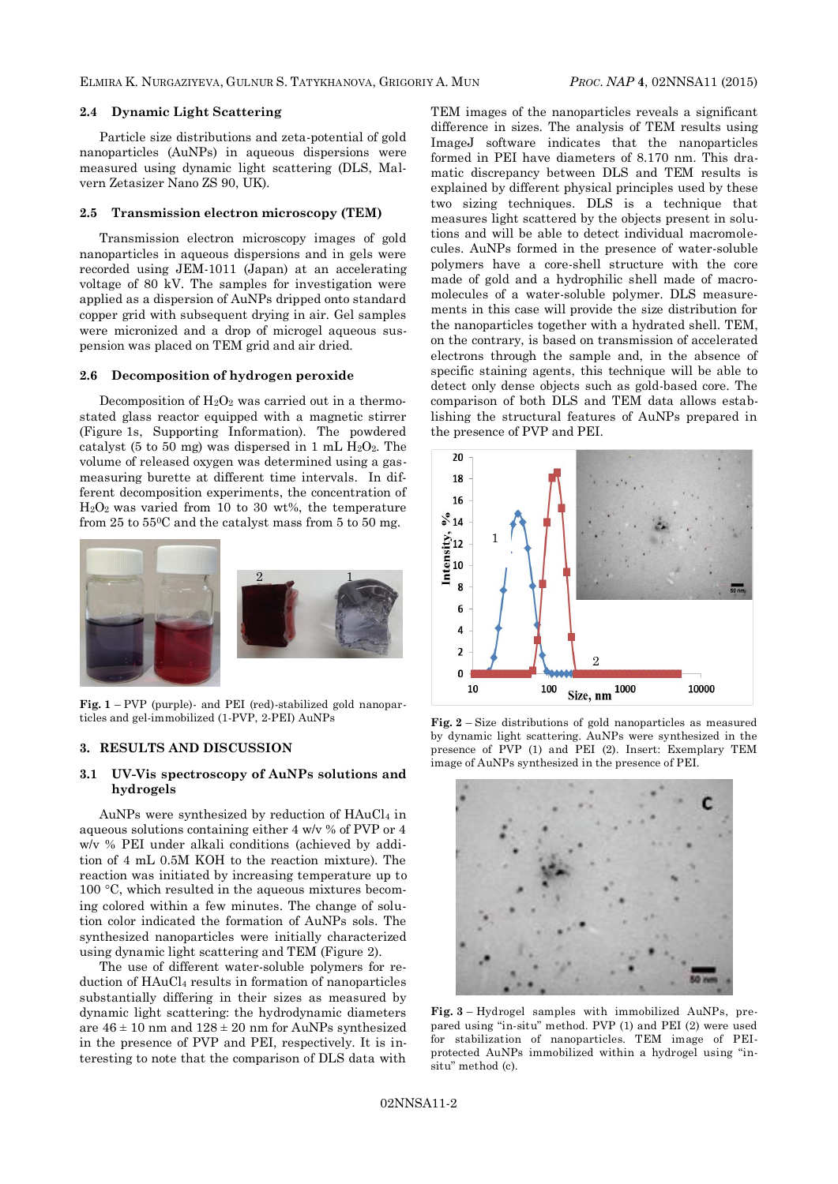#### **2.4 Dynamic Light Scattering**

Particle size distributions and zeta-potential of gold nanoparticles (AuNPs) in aqueous dispersions were measured using dynamic light scattering (DLS, Malvern Zetasizer Nano ZS 90, UK).

#### **2.5 Transmission electron microscopy (TEM)**

Transmission electron microscopy images of gold nanoparticles in aqueous dispersions and in gels were recorded using JEM-1011 (Japan) at an accelerating voltage of 80 kV. The samples for investigation were applied as a dispersion of AuNPs dripped onto standard copper grid with subsequent drying in air. Gel samples were micronized and a drop of microgel aqueous suspension was placed on TEM grid and air dried.

#### **2.6 Decomposition of hydrogen peroxide**

Decomposition of  $H_2O_2$  was carried out in a thermostated glass reactor equipped with a magnetic stirrer (Figure 1s, Supporting Information). The powdered catalyst (5 to 50 mg) was dispersed in 1 mL  $H_2O_2$ . The volume of released oxygen was determined using a gasmeasuring burette at different time intervals. In different decomposition experiments, the concentration of  $H<sub>2</sub>O<sub>2</sub>$  was varied from 10 to 30 wt%, the temperature from  $25$  to  $55^{\circ}$ C and the catalyst mass from  $5$  to  $50$  mg.



**Fig. 1** – PVP (purple)- and PEI (red)-stabilized gold nanoparticles and gel-immobilized (1-PVP, 2-PEI) AuNPs

### **3. RESULTS AND DISCUSSION**

### **3.1 UV-Vis spectroscopy of AuNPs solutions and hydrogels**

AuNPs were synthesized by reduction of HAuCl<sup>4</sup> in aqueous solutions containing either 4 w/v % of PVP or 4 w/v % PEI under alkali conditions (achieved by addition of 4 mL 0.5M KOH to the reaction mixture). The reaction was initiated by increasing temperature up to  $100 \text{ °C}$ , which resulted in the aqueous mixtures becoming colored within a few minutes. The change of solution color indicated the formation of AuNPs sols. The synthesized nanoparticles were initially characterized using dynamic light scattering and TEM (Figure 2).

The use of different water-soluble polymers for reduction of HAuCl<sup>4</sup> results in formation of nanoparticles substantially differing in their sizes as measured by dynamic light scattering: the hydrodynamic diameters are  $46 \pm 10$  nm and  $128 \pm 20$  nm for AuNPs synthesized in the presence of PVP and PEI, respectively. It is interesting to note that the comparison of DLS data with

TEM images of the nanoparticles reveals a significant difference in sizes. The analysis of TEM results using ImageJ software indicates that the nanoparticles formed in PEI have diameters of 8.170 nm. This dramatic discrepancy between DLS and TEM results is explained by different physical principles used by these two sizing techniques. DLS is a technique that measures light scattered by the objects present in solutions and will be able to detect individual macromolecules. AuNPs formed in the presence of water-soluble polymers have a core-shell structure with the core made of gold and a hydrophilic shell made of macromolecules of a water-soluble polymer. DLS measurements in this case will provide the size distribution for the nanoparticles together with a hydrated shell. TEM, on the contrary, is based on transmission of accelerated electrons through the sample and, in the absence of specific staining agents, this technique will be able to detect only dense objects such as gold-based core. The comparison of both DLS and TEM data allows establishing the structural features of AuNPs prepared in the presence of PVP and PEI.



**Fig. 2** – Size distributions of gold nanoparticles as measured by dynamic light scattering. AuNPs were synthesized in the presence of PVP (1) and PEI (2). Insert: Exemplary TEM image of AuNPs synthesized in the presence of PEI.



**Fig. 3** – Hydrogel samples with immobilized AuNPs, prepared using "in-situ" method. PVP (1) and PEI (2) were used for stabilization of nanoparticles. TEM image of PEIprotected AuNPs immobilized within a hydrogel using "insitu" method (c).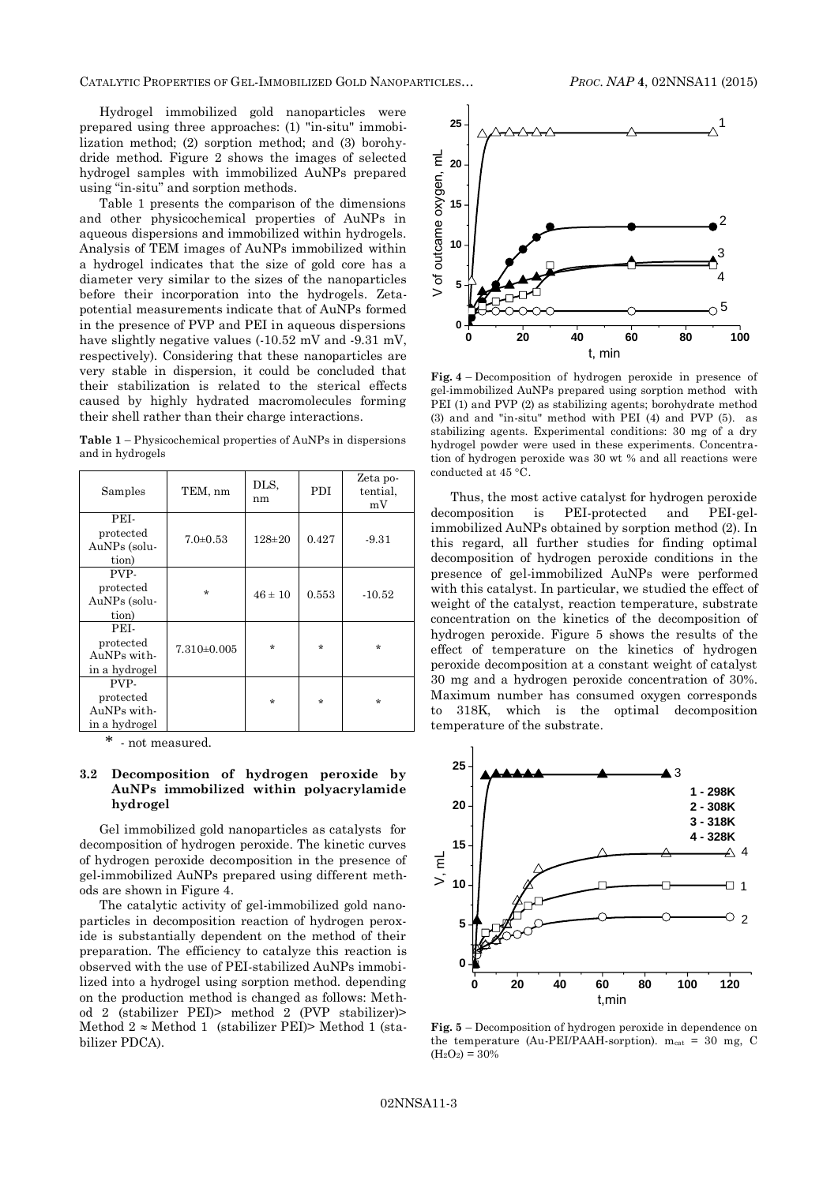Hydrogel immobilized gold nanoparticles were prepared using three approaches: (1) "in-situ" immobilization method; (2) sorption method; and (3) borohydride method. Figure 2 shows the images of selected hydrogel samples with immobilized AuNPs prepared using "in-situ" and sorption methods.

Table 1 presents the comparison of the dimensions and other physicochemical properties of AuNPs in aqueous dispersions and immobilized within hydrogels. Analysis of TEM images of AuNPs immobilized within a hydrogel indicates that the size of gold core has a diameter very similar to the sizes of the nanoparticles before their incorporation into the hydrogels. Zetapotential measurements indicate that of AuNPs formed in the presence of PVP and PEI in aqueous dispersions have slightly negative values (-10.52 mV and -9.31 mV, respectively). Considering that these nanoparticles are very stable in dispersion, it could be concluded that their stabilization is related to the sterical effects caused by highly hydrated macromolecules forming their shell rather than their charge interactions.

**Table 1** – Physicochemical properties of AuNPs in dispersions and in hydrogels

| Samples                                           | TEM, nm         | DLS.<br>nm   | <b>PDI</b> | Zeta po-<br>tential.<br>mV |
|---------------------------------------------------|-----------------|--------------|------------|----------------------------|
| PEI-<br>protected<br>AuNPs (solu-<br>tion)        | $7.0 \pm 0.53$  | $128 \pm 20$ | 0.427      | $-9.31$                    |
| PVP-<br>protected<br>AuNPs (solu-<br>tion)        | $\star$         | $46 \pm 10$  | 0.553      | $-10.52$                   |
| PEI-<br>protected<br>AuNPs with-<br>in a hydrogel | $7.310\pm0.005$ | $\star$      | $\star$    | $\star$                    |
| PVP-<br>protected<br>AuNPs with-<br>in a hydrogel |                 | $\star$      | $\star$    | $\star$                    |

- not measured.

### **3.2 Decomposition of hydrogen peroxide by AuNPs immobilized within polyacrylamide hydrogel**

Gel immobilized gold nanoparticles as catalysts for decomposition of hydrogen peroxide. The kinetic curves of hydrogen peroxide decomposition in the presence of gel-immobilized AuNPs prepared using different methods are shown in Figure 4.

The catalytic activity of gel-immobilized gold nanoparticles in decomposition reaction of hydrogen peroxide is substantially dependent on the method of their preparation. The efficiency to catalyze this reaction is observed with the use of PEI-stabilized AuNPs immobilized into a hydrogel using sorption method. depending on the production method is changed as follows: Method 2 (stabilizer PEI)> method 2 (PVP stabilizer)> Method  $2 \approx$  Method 1 (stabilizer PEI)> Method 1 (stabilizer PDCA).



**Fig. 4** – Decomposition of hydrogen peroxide in presence of gel-immobilized AuNPs prepared using sorption method with PEI (1) and PVP (2) as stabilizing agents; borohydrate method (3) and and "in-situ" method with PEI (4) and PVP (5). as stabilizing agents. Experimental conditions: 30 mg of a dry hydrogel powder were used in these experiments. Concentration of hydrogen peroxide was 30 wt % and all reactions were conducted at 45 °C.

Thus, the most active catalyst for hydrogen peroxide decomposition is PEI-protected and PEI-gelimmobilized AuNPs obtained by sorption method (2). In this regard, all further studies for finding optimal decomposition of hydrogen peroxide conditions in the presence of gel-immobilized AuNPs were performed with this catalyst. In particular, we studied the effect of weight of the catalyst, reaction temperature, substrate concentration on the kinetics of the decomposition of hydrogen peroxide. Figure 5 shows the results of the effect of temperature on the kinetics of hydrogen peroxide decomposition at a constant weight of catalyst 30 mg and a hydrogen peroxide concentration of 30%. Maximum number has consumed oxygen corresponds to 318K, which is the optimal decomposition temperature of the substrate.



**Fig. 5** – Decomposition of hydrogen peroxide in dependence on the temperature (Au-PEI/PAAH-sorption).  $m_{cat} = 30$  mg, C  $(H_2O_2) = 30\%$